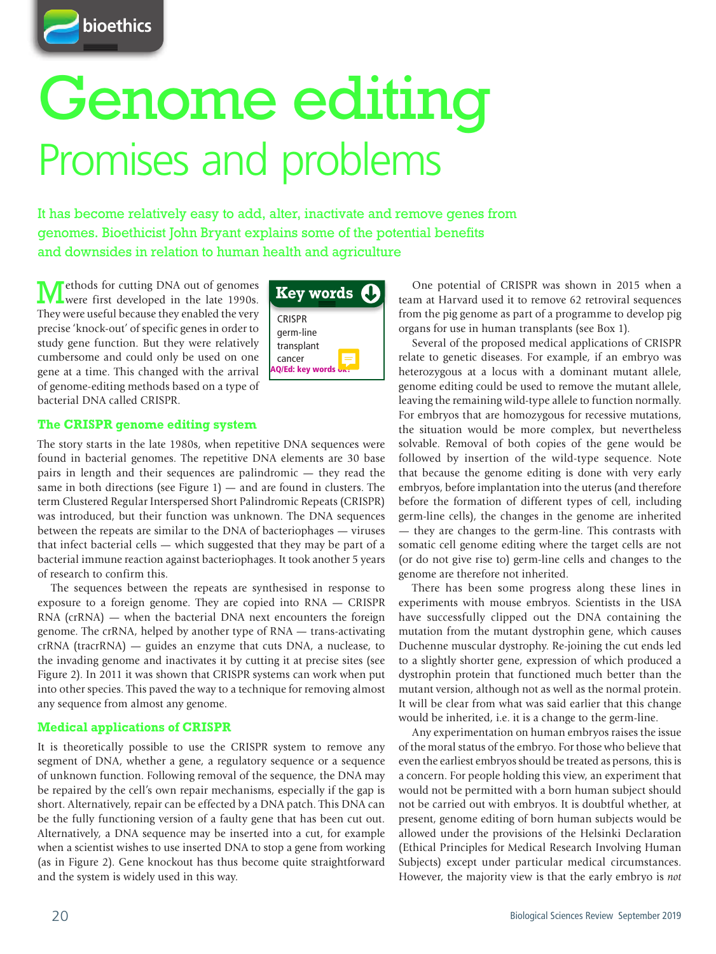

# Genome editing Promises and problems

It has become relatively easy to add, alter, inactivate and remove genes from genomes. Bioethicist John Bryant explains some of the potential benefits and downsides in relation to human health and agriculture

Methods for cutting DNA out of genomes were first developed in the late 1990s. They were useful because they enabled the very precise 'knock-out' of specific genes in order to study gene function. But they were relatively cumbersome and could only be used on one gene at a time. This changed with the arrival of genome-editing methods based on a type of bacterial DNA called CRISPR.



#### **The CRISPR genome editing system**

The story starts in the late 1980s, when repetitive DNA sequences were found in bacterial genomes. The repetitive DNA elements are 30 base pairs in length and their sequences are palindromic — they read the same in both directions (see Figure  $1$ ) — and are found in clusters. The term Clustered Regular Interspersed Short Palindromic Repeats (CRISPR) was introduced, but their function was unknown. The DNA sequences between the repeats are similar to the DNA of bacteriophages — viruses that infect bacterial cells — which suggested that they may be part of a bacterial immune reaction against bacteriophages. It took another 5 years of research to confirm this.

The sequences between the repeats are synthesised in response to exposure to a foreign genome. They are copied into RNA — CRISPR RNA (crRNA) — when the bacterial DNA next encounters the foreign genome. The crRNA, helped by another type of RNA — trans-activating crRNA (tracrRNA) — guides an enzyme that cuts DNA, a nuclease, to the invading genome and inactivates it by cutting it at precise sites (see Figure 2). In 2011 it was shown that CRISPR systems can work when put into other species. This paved the way to a technique for removing almost any sequence from almost any genome.

#### **Medical applications of CRISPR**

It is theoretically possible to use the CRISPR system to remove any segment of DNA, whether a gene, a regulatory sequence or a sequence of unknown function. Following removal of the sequence, the DNA may be repaired by the cell's own repair mechanisms, especially if the gap is short. Alternatively, repair can be effected by a DNA patch. This DNA can be the fully functioning version of a faulty gene that has been cut out. Alternatively, a DNA sequence may be inserted into a cut, for example when a scientist wishes to use inserted DNA to stop a gene from working (as in Figure 2). Gene knockout has thus become quite straightforward and the system is widely used in this way.

One potential of CRISPR was shown in 2015 when a team at Harvard used it to remove 62 retroviral sequences from the pig genome as part of a programme to develop pig organs for use in human transplants (see Box 1).

Several of the proposed medical applications of CRISPR relate to genetic diseases. For example, if an embryo was heterozygous at a locus with a dominant mutant allele, genome editing could be used to remove the mutant allele, leaving the remaining wild-type allele to function normally. For embryos that are homozygous for recessive mutations, the situation would be more complex, but nevertheless solvable. Removal of both copies of the gene would be followed by insertion of the wild-type sequence. Note that because the genome editing is done with very early embryos, before implantation into the uterus (and therefore before the formation of different types of cell, including germ-line cells), the changes in the genome are inherited — they are changes to the germ-line. This contrasts with somatic cell genome editing where the target cells are not (or do not give rise to) germ-line cells and changes to the genome are therefore not inherited.

There has been some progress along these lines in experiments with mouse embryos. Scientists in the USA have successfully clipped out the DNA containing the mutation from the mutant dystrophin gene, which causes Duchenne muscular dystrophy. Re-joining the cut ends led to a slightly shorter gene, expression of which produced a dystrophin protein that functioned much better than the mutant version, although not as well as the normal protein. It will be clear from what was said earlier that this change would be inherited, i.e. it is a change to the germ-line.

Any experimentation on human embryos raises the issue of the moral status of the embryo. For those who believe that even the earliest embryos should be treated as persons, this is a concern. For people holding this view, an experiment that would not be permitted with a born human subject should not be carried out with embryos. It is doubtful whether, at present, genome editing of born human subjects would be allowed under the provisions of the Helsinki Declaration (Ethical Principles for Medical Research Involving Human Subjects) except under particular medical circumstances. However, the majority view is that the early embryo is *not*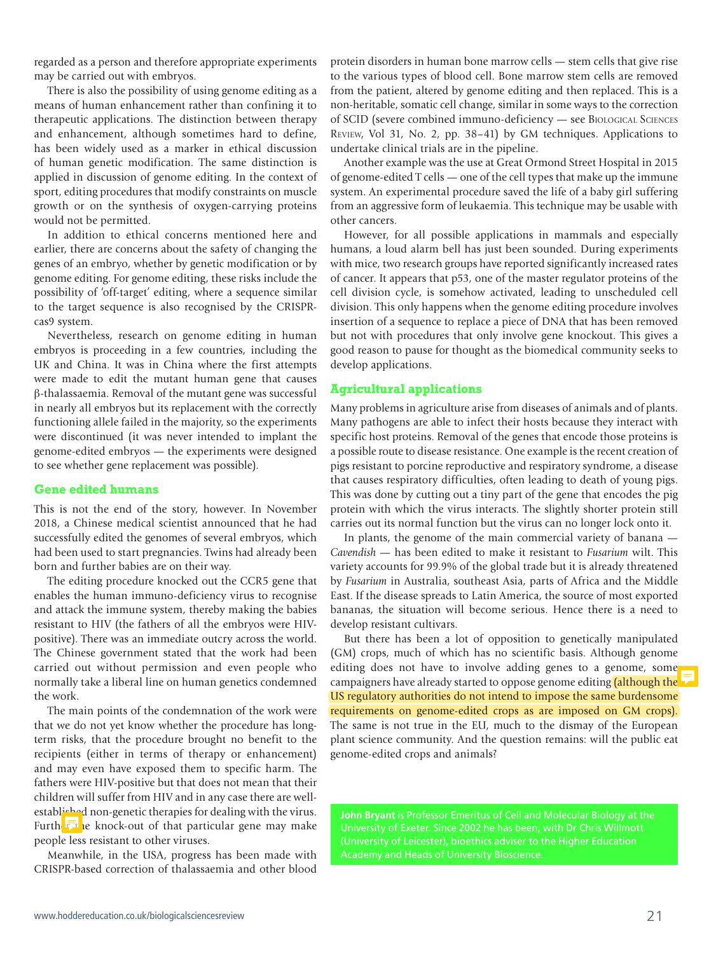regarded as a person and therefore appropriate experiments may be carried out with embryos.

There is also the possibility of using genome editing as a means of human enhancement rather than confining it to therapeutic applications. The distinction between therapy and enhancement, although sometimes hard to define, has been widely used as a marker in ethical discussion of human genetic modification. The same distinction is applied in discussion of genome editing. In the context of sport, editing procedures that modify constraints on muscle growth or on the synthesis of oxygen-carrying proteins would not be permitted.

In addition to ethical concerns mentioned here and earlier, there are concerns about the safety of changing the genes of an embryo, whether by genetic modification or by genome editing. For genome editing, these risks include the possibility of 'off-target' editing, where a sequence similar to the target sequence is also recognised by the CRISPRcas9 system.

Nevertheless, research on genome editing in human embryos is proceeding in a few countries, including the UK and China. It was in China where the first attempts were made to edit the mutant human gene that causes β-thalassaemia. Removal of the mutant gene was successful in nearly all embryos but its replacement with the correctly functioning allele failed in the majority, so the experiments were discontinued (it was never intended to implant the genome-edited embryos — the experiments were designed to see whether gene replacement was possible).

#### **Gene edited humans**

This is not the end of the story, however. In November 2018, a Chinese medical scientist announced that he had successfully edited the genomes of several embryos, which had been used to start pregnancies. Twins had already been born and further babies are on their way.

The editing procedure knocked out the CCR5 gene that enables the human immuno-deficiency virus to recognise and attack the immune system, thereby making the babies resistant to HIV (the fathers of all the embryos were HIVpositive). There was an immediate outcry across the world. The Chinese government stated that the work had been carried out without permission and even people who normally take a liberal line on human genetics condemned the work.

The main points of the condemnation of the work were that we do not yet know whether the procedure has longterm risks, that the procedure brought no benefit to the recipients (either in terms of therapy or enhancement) and may even have exposed them to specific harm. The fathers were HIV-positive but that does not mean that their children will suffer from HIV and in any case there are wellestablished non-genetic therapies for dealing with the virus. Further the knock-out of that particular gene may make people less resistant to other viruses.

Meanwhile, in the USA, progress has been made with CRISPR-based correction of thalassaemia and other blood protein disorders in human bone marrow cells — stem cells that give rise to the various types of blood cell. Bone marrow stem cells are removed from the patient, altered by genome editing and then replaced. This is a non-heritable, somatic cell change, similar in some ways to the correction of SCID (severe combined immuno-deficiency — see Biological Sciences Review, Vol 31, No. 2, pp. 38–41) by GM techniques. Applications to undertake clinical trials are in the pipeline.

Another example was the use at Great Ormond Street Hospital in 2015 of genome-edited T cells — one of the cell types that make up the immune system. An experimental procedure saved the life of a baby girl suffering from an aggressive form of leukaemia. This technique may be usable with other cancers.

However, for all possible applications in mammals and especially humans, a loud alarm bell has just been sounded. During experiments with mice, two research groups have reported significantly increased rates of cancer. It appears that p53, one of the master regulator proteins of the cell division cycle, is somehow activated, leading to unscheduled cell division. This only happens when the genome editing procedure involves insertion of a sequence to replace a piece of DNA that has been removed but not with procedures that only involve gene knockout. This gives a good reason to pause for thought as the biomedical community seeks to develop applications.

#### **Agricultural applications**

Many problems in agriculture arise from diseases of animals and of plants. Many pathogens are able to infect their hosts because they interact with specific host proteins. Removal of the genes that encode those proteins is a possible route to disease resistance. One example is the recent creation of pigs resistant to porcine reproductive and respiratory syndrome, a disease that causes respiratory difficulties, often leading to death of young pigs. This was done by cutting out a tiny part of the gene that encodes the pig protein with which the virus interacts. The slightly shorter protein still carries out its normal function but the virus can no longer lock onto it.

In plants, the genome of the main commercial variety of banana — *Cavendish* — has been edited to make it resistant to *Fusarium* wilt. This variety accounts for 99.9% of the global trade but it is already threatened by *Fusarium* in Australia, southeast Asia, parts of Africa and the Middle East. If the disease spreads to Latin America, the source of most exported bananas, the situation will become serious. Hence there is a need to develop resistant cultivars.

But there has been a lot of opposition to genetically manipulated (GM) crops, much of which has no scientific basis. Although genome editing does not have to involve adding genes to a genome, some campaigners have already started to oppose genome editing (although the US regulatory authorities do not intend to impose the same burdensome requirements on genome-edited crops as are imposed on GM crops). The same is not true in the EU, much to the dismay of the European plant science community. And the question remains: will the public eat genome-edited crops and animals?

**John Bryant** is Professor Emeritus of Cell and Molecular Biology at the (University of Leicester), bioethics adviser to the Higher Education Academy and Heads of University Bioscience.